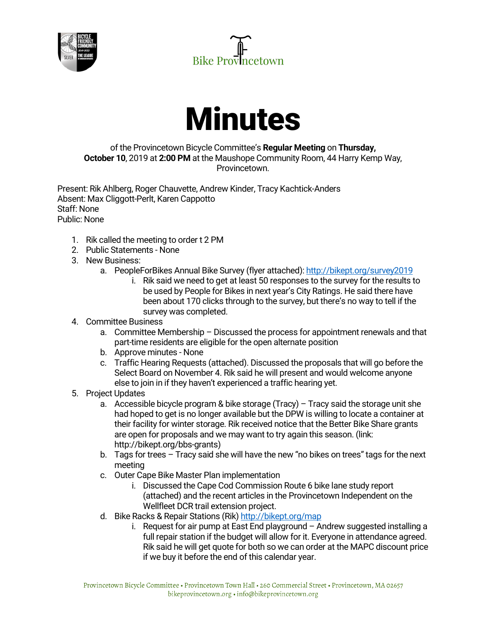





## of the Provincetown Bicycle Committee's **Regular Meeting** on **Thursday, October 10**, 2019 at **2:00 PM** at the Maushope Community Room, 44 Harry Kemp Way, Provincetown.

Present: Rik Ahlberg, Roger Chauvette, Andrew Kinder, Tracy Kachtick-Anders Absent: Max Cliggott-Perlt, Karen Cappotto Staff: None Public: None

- 1. Rik called the meeting to order t 2 PM
- 2. Public Statements None
- 3. New Business:
	- a. PeopleForBikes Annual Bike Survey (flyer attached): http://bikept.org/survey2019
		- i. Rik said we need to get at least 50 responses to the survey for the results to be used by People for Bikes in next year's City Ratings. He said there have been about 170 clicks through to the survey, but there's no way to tell if the survey was completed.

## 4. Committee Business

- a. Committee Membership Discussed the process for appointment renewals and that part-time residents are eligible for the open alternate position
- b. Approve minutes None
- c. Traffic Hearing Requests (attached). Discussed the proposals that will go before the Select Board on November 4. Rik said he will present and would welcome anyone else to join in if they haven't experienced a traffic hearing yet.
- 5. Project Updates
	- a. Accessible bicycle program & bike storage (Tracy) Tracy said the storage unit she had hoped to get is no longer available but the DPW is willing to locate a container at their facility for winter storage. Rik received notice that the Better Bike Share grants are open for proposals and we may want to try again this season. (link: http://bikept.org/bbs-grants)
	- b. Tags for trees Tracy said she will have the new "no bikes on trees" tags for the next meeting
	- c. Outer Cape Bike Master Plan implementation
		- i. Discussed the Cape Cod Commission Route 6 bike lane study report (attached) and the recent articles in the Provincetown Independent on the Wellfleet DCR trail extension project.
	- d. Bike Racks & Repair Stations (Rik) http://bikept.org/map
		- i. Request for air pump at East End playground Andrew suggested installing a full repair station if the budget will allow for it. Everyone in attendance agreed. Rik said he will get quote for both so we can order at the MAPC discount price if we buy it before the end of this calendar year.